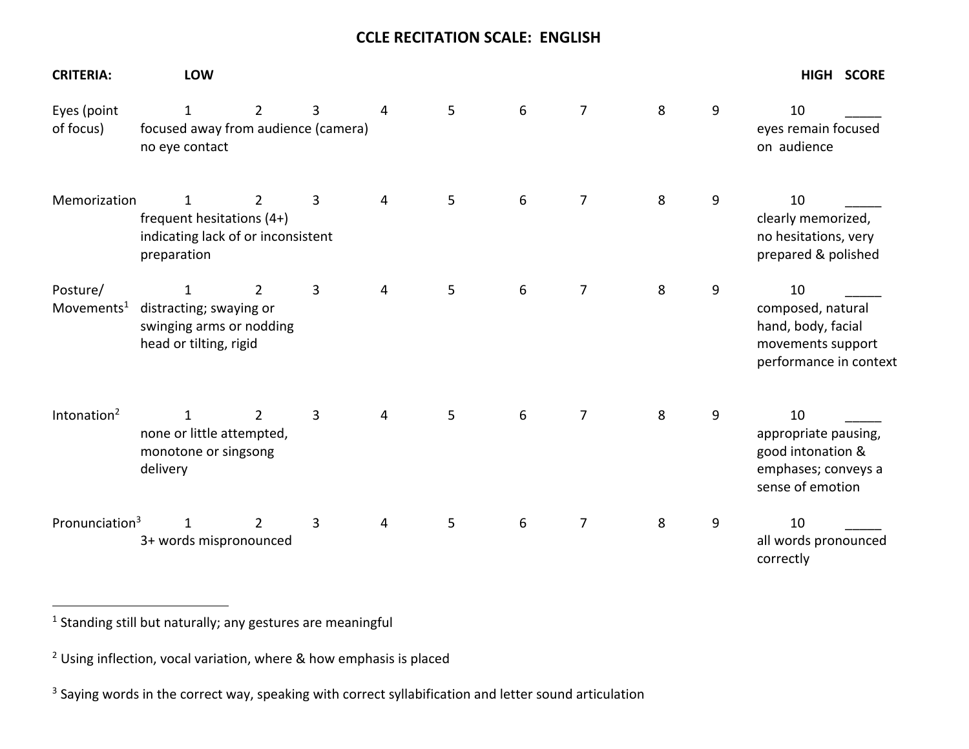## **CCLE RECITATION SCALE: ENGLISH**

| <b>CRITERIA:</b>                   | <b>LOW</b>                                                                                                                                                                          |                |   |   |   |   |                |   |   | HIGH SCORE                                                                                   |
|------------------------------------|-------------------------------------------------------------------------------------------------------------------------------------------------------------------------------------|----------------|---|---|---|---|----------------|---|---|----------------------------------------------------------------------------------------------|
| Eyes (point<br>of focus)           | 6<br>$\overline{7}$<br>8<br>9<br>$\overline{2}$<br>3<br>5<br>10<br>$\mathbf{1}$<br>4<br>focused away from audience (camera)<br>eyes remain focused<br>on audience<br>no eye contact |                |   |   |   |   |                |   |   |                                                                                              |
| Memorization                       | 1<br>frequent hesitations (4+)<br>indicating lack of or inconsistent<br>preparation                                                                                                 | $\overline{2}$ | 3 | 4 | 5 | 6 | 7              | 8 | 9 | 10<br>clearly memorized,<br>no hesitations, very<br>prepared & polished                      |
| Posture/<br>Movements <sup>1</sup> | 1<br>distracting; swaying or<br>swinging arms or nodding<br>head or tilting, rigid                                                                                                  | 2              | 3 | 4 | 5 | 6 | $\overline{7}$ | 8 | 9 | 10<br>composed, natural<br>hand, body, facial<br>movements support<br>performance in context |
| Intonation $2$                     | $\overline{2}$<br>$\mathbf{1}$<br>none or little attempted,<br>monotone or singsong<br>delivery                                                                                     |                | 3 | 4 | 5 | 6 | 7              | 8 | 9 | 10<br>appropriate pausing,<br>good intonation &<br>emphases; conveys a<br>sense of emotion   |
| Pronunciation <sup>3</sup>         | 1<br>3+ words mispronounced                                                                                                                                                         | 2              | 3 | 4 | 5 | 6 | 7              | 8 | 9 | 10<br>all words pronounced<br>correctly                                                      |

<sup>1</sup> Standing still but naturally; any gestures are meaningful

 $2$  Using inflection, vocal variation, where & how emphasis is placed

<sup>&</sup>lt;sup>3</sup> Saying words in the correct way, speaking with correct syllabification and letter sound articulation